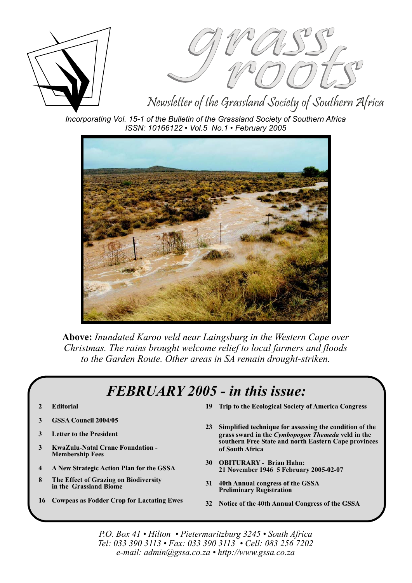



Newsletter of the Grassland Society of Southern Africa

*Incorporating Vol. 15-1 of the Bulletin of the Grassland Society of Southern Africa ISSN: 10166122 • Vol.5 No.1 • February 2005*



**Above:** *Inundated Karoo veld near Laingsburg in the Western Cape over Christmas. The rains brought welcome relief to local farmers and floods to the Garden Route. Other areas in SA remain drought-striken.*

### *FEBRUARY 2005 - in this issue:*

- **2 Editorial**
- **3 GSSA Council 2004/05**
- **3 Letter to the President**
- **3 KwaZulu-Natal Crane Foundation - Membership Fees**
- **4 A New Strategic Action Plan for the GSSA**
- **8 The Effect of Grazing on Biodiversity in the Grassland Biome**
- **16 Cowpeas as Fodder Crop for Lactating Ewes**
- **19 Trip to the Ecological Society of America Congress**
- **23 Simplified technique for assessing the condition of the** grass sward in the *Cymbopogon Themeda* veld in the **southern Free State and north Eastern Cape provinces of South Africa**
- **30 OBITURARY Brian Hahn: 21 November 1946 5 February 2005-02-07**
- **31 40th Annual congress of the GSSA Preliminary Registration**
- **32 Notice of the 40th Annual Congress of the GSSA**

*P.O. Box 41 • Hilton • Pietermaritzburg 3245 • South Africa Tel: 033 390 3113 • Fax: 033 390 3113 • Cell: 083 256 7202 e-mail: admin@gssa.co.za • http://www.gssa.co.za*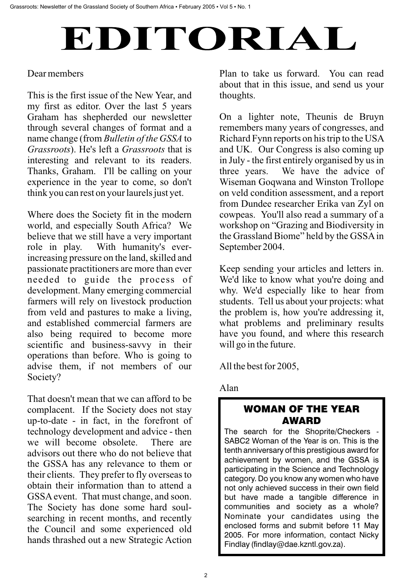# EDITORIAL

### Dear members

This is the first issue of the New Year, and my first as editor. Over the last 5 years Graham has shepherded our newsletter through several changes of format and a name change (from *Bulletin of the GSSA* to Grassroots). He's left a Grassroots that is interesting and relevant to its readers. Thanks, Graham. I'll be calling on your experience in the year to come, so don't think you can rest on your laurels just yet.

Where does the Society fit in the modern world, and especially South Africa? We believe that we still have a very important role in play. With humanity's everincreasing pressure on the land, skilled and passionate practitioners are more than ever needed to guide the process of development. Many emerging commercial farmers will rely on livestock production from veld and pastures to make a living, and established commercial farmers are also being required to become more scientific and business-savvy in their operations than before. Who is going to advise them, if not members of our Society?

That doesn't mean that we can afford to be complacent. If the Society does not stay up-to-date - in fact, in the forefront of technology development and advice - then we will become obsolete. There are advisors out there who do not believe that the GSSA has any relevance to them or their clients. They prefer to fly overseas to obtain their information than to attend a GSSA event. That must change, and soon. The Society has done some hard soulsearching in recent months, and recently the Council and some experienced old hands thrashed out a new Strategic Action

Plan to take us forward. You can read about that in this issue, and send us your thoughts.

On a lighter note, Theunis de Bruyn remembers many years of congresses, and Richard Fynn reports on his trip to the USA and UK. Our Congress is also coming up in July - the first entirely organised by us in three years. We have the advice of Wiseman Goqwana and Winston Trollope on veld condition assessment, and a report from Dundee researcher Erika van Zyl on cowpeas. You'll also read a summary of a workshop on "Grazing and Biodiversity in the Grassland Biome" held by the GSSAin September 2004.

Keep sending your articles and letters in. We'd like to know what you're doing and why. We'd especially like to hear from students. Tell us about your projects: what the problem is, how you're addressing it, what problems and preliminary results have you found, and where this research will go in the future.

All the best for 2005,

### Alan

### WOMAN OF THE YEAR AWARD

The search for the Shoprite/Checkers - SABC2 Woman of the Year is on. This is the tenth anniversary of this prestigious award for achievement by women, and the GSSA is participating in the Science and Technology category. Do you know any women who have not only achieved success in their own field but have made a tangible difference in communities and society as a whole? Nominate your candidates using the enclosed forms and submit before 11 May 2005. For more information, contact Nicky Findlay (findlay@dae.kzntl.gov.za).